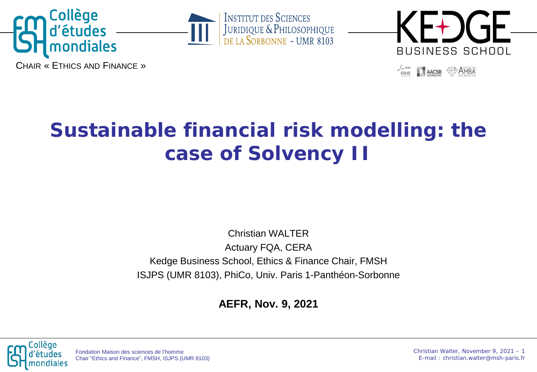





AACSB **DAMBA** 

CHAIR « ETHICS AND FINANCE »

# **Sustainable financial risk modelling: the case of Solvency II**

Christian WALTER Actuary FQA, CERA Kedge Business School, Ethics & Finance Chair, FMSH ISJPS (UMR 8103), PhiCo, Univ. Paris 1-Panthéon-Sorbonne

**AEFR, Nov. 9, 2021**



Fondation Maison des sciences de l'homme Chair "Ethics and Finance", FMSH, ISJPS (UMR 8103) Christian Walter, November 9, 2021 – 1 E-mail : christian.walter@msh-paris.fr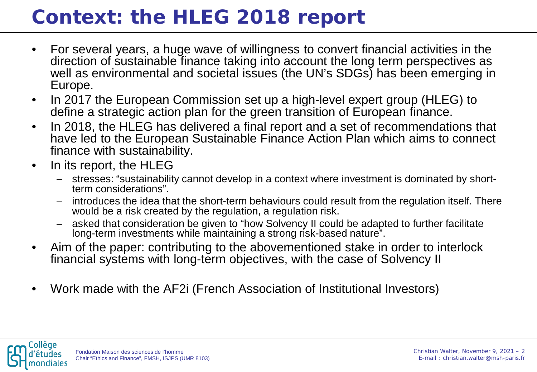# **Context: the HLEG 2018 report**

- For several years, a huge wave of willingness to convert financial activities in the direction of sustainable finance taking into account the long term perspectives as well as environmental and societal issues (the UN's SDGs) has been emerging in Europe.
- In 2017 the European Commission set up a high-level expert group (HLEG) to define a strategic action plan for the green transition of European finance.
- In 2018, the HLEG has delivered a final report and a set of recommendations that have led to the European Sustainable Finance Action Plan which aims to connect finance with sustainability.
- In its report, the HLEG
	- stresses: "sustainability cannot develop in a context where investment is dominated by short- term considerations".
	- introduces the idea that the short-term behaviours could result from the regulation itself. There would be a risk created by the regulation, a regulation risk.
	- asked that consideration be given to "how Solvency II could be adapted to further facilitate long-term investments while maintaining a strong risk-based nature".
- Aim of the paper: contributing to the abovementioned stake in order to interlock financial systems with long-term objectives, with the case of Solvency II
- Work made with the AF2i (French Association of Institutional Investors)

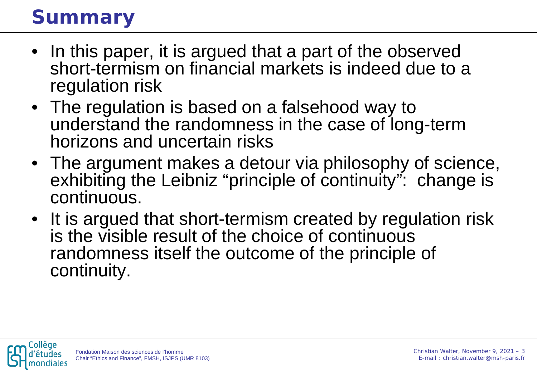# **Summary**

- In this paper, it is argued that a part of the observed short-termism on financial markets is indeed due to a regulation risk
- The regulation is based on a falsehood way to understand the randomness in the case of long-term horizons and uncertain risks
- The argument makes a detour via philosophy of science, exhibiting the Leibniz "principle of continuity": change is continuous.
- It is argued that short-termism created by regulation risk is the visible result of the choice of continuous randomness itself the outcome of the principle of continuity.

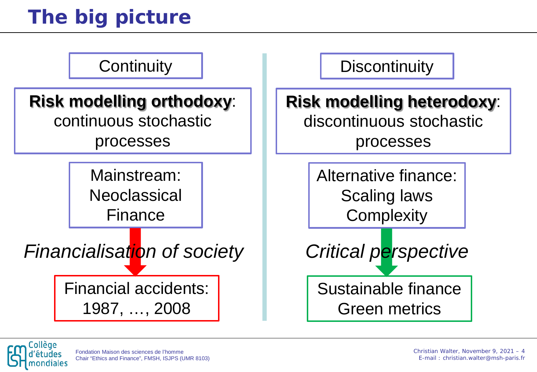# **The big picture**



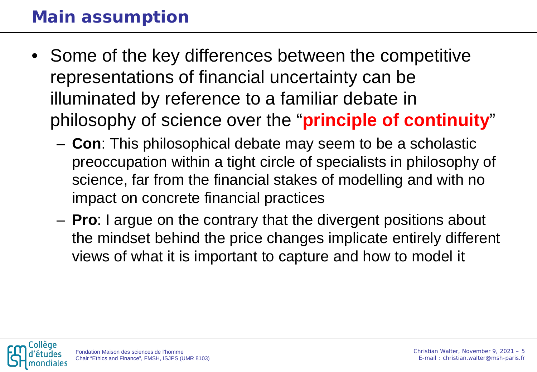#### **Main assumption**

- Some of the key differences between the competitive representations of financial uncertainty can be illuminated by reference to a familiar debate in philosophy of science over the "**principle of continuity**"
	- **Con**: This philosophical debate may seem to be a scholastic preoccupation within a tight circle of specialists in philosophy of science, far from the financial stakes of modelling and with no impact on concrete financial practices
	- **Pro**: I argue on the contrary that the divergent positions about the mindset behind the price changes implicate entirely different views of what it is important to capture and how to model it

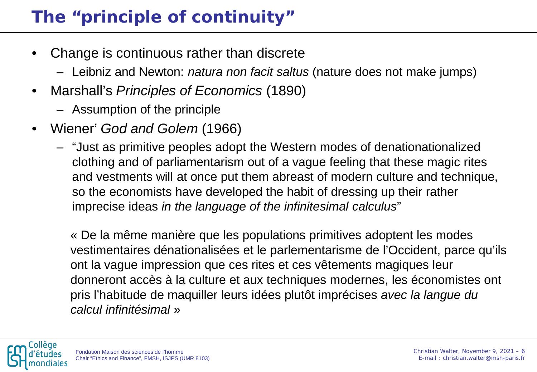### **The "principle of continuity"**

- Change is continuous rather than discrete
	- Leibniz and Newton: *natura non facit saltus* (nature does not make jumps)
- Marshall's *Principles of Economics* (1890)
	- Assumption of the principle
- Wiener' *God and Golem* (1966)
	- "Just as primitive peoples adopt the Western modes of denationationalized clothing and of parliamentarism out of a vague feeling that these magic rites and vestments will at once put them abreast of modern culture and technique, so the economists have developed the habit of dressing up their rather imprecise ideas *in the language of the infinitesimal calculus*"

« De la même manière que les populations primitives adoptent les modes vestimentaires dénationalisées et le parlementarisme de l'Occident, parce qu'ils ont la vague impression que ces rites et ces vêtements magiques leur donneront accès à la culture et aux techniques modernes, les économistes ont pris l'habitude de maquiller leurs idées plutôt imprécises *avec la langue du calcul infinitésimal* »

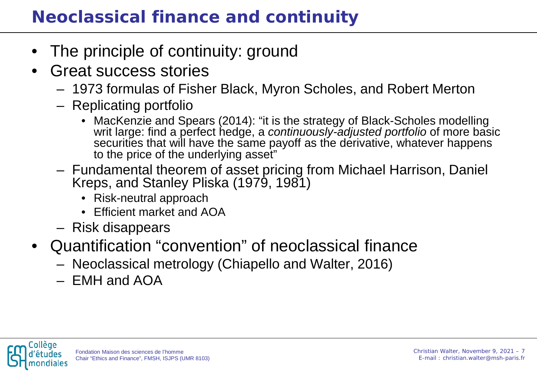### **Neoclassical finance and continuity**

- The principle of continuity: ground
- Great success stories
	- 1973 formulas of Fisher Black, Myron Scholes, and Robert Merton
	- Replicating portfolio
		- MacKenzie and Spears (2014): "it is the strategy of Black-Scholes modelling writ large: find a perfect hedge, a *continuously-adjusted portfolio* of more basic securities that will have the same payoff as the derivative, whatever happens to the price of the underlying asset"
	- Fundamental theorem of asset pricing from Michael Harrison, Daniel Kreps, and Stanley Pliska (1979, 1981)
		- Risk-neutral approach
		- Efficient market and AOA
	- Risk disappears
- Quantification "convention" of neoclassical finance
	- Neoclassical metrology (Chiapello and Walter, 2016)
	- EMH and AOA

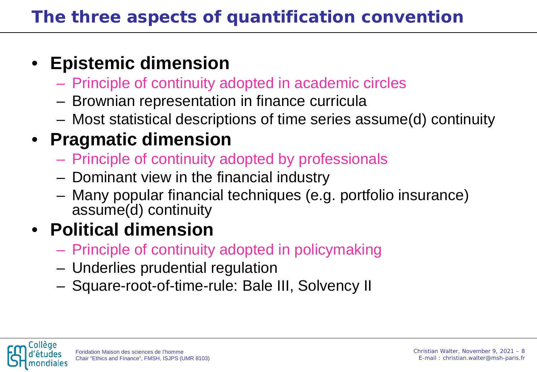## • **Epistemic dimension**

- Principle of continuity adopted in academic circles
- Brownian representation in finance curricula
- Most statistical descriptions of time series assume(d) continuity

### • **Pragmatic dimension**

- Principle of continuity adopted by professionals
- Dominant view in the financial industry
- Many popular financial techniques (e.g. portfolio insurance) assume(d) continuity

## • **Political dimension**

- Principle of continuity adopted in policymaking
- Underlies prudential regulation
- Square-root-of-time-rule: Bale III, Solvency II

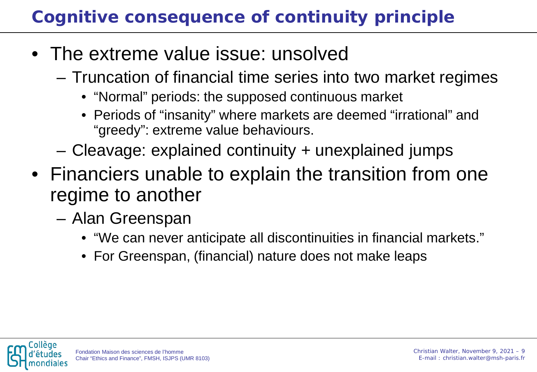## **Cognitive consequence of continuity principle**

- The extreme value issue: unsolved
	- Truncation of financial time series into two market regimes
		- "Normal" periods: the supposed continuous market
		- Periods of "insanity" where markets are deemed "irrational" and "greedy": extreme value behaviours.
	- Cleavage: explained continuity + unexplained jumps
- Financiers unable to explain the transition from one regime to another
	- Alan Greenspan
		- "We can never anticipate all discontinuities in financial markets."
		- For Greenspan, (financial) nature does not make leaps

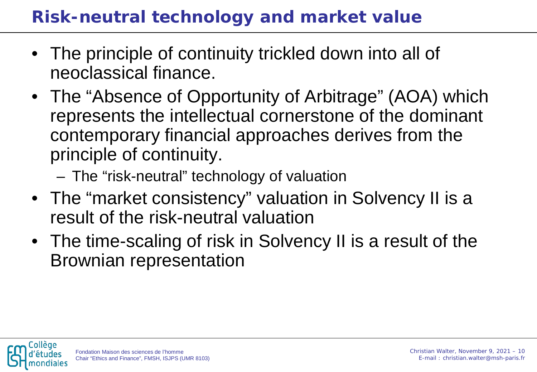#### **Risk-neutral technology and market value**

- The principle of continuity trickled down into all of neoclassical finance.
- The "Absence of Opportunity of Arbitrage" (AOA) which represents the intellectual cornerstone of the dominant contemporary financial approaches derives from the principle of continuity.
	- The "risk-neutral" technology of valuation
- The "market consistency" valuation in Solvency II is a result of the risk-neutral valuation
- The time-scaling of risk in Solvency II is a result of the Brownian representation

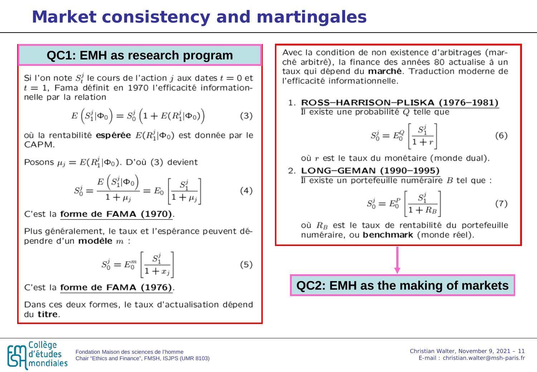#### **Market consistency and martingales**

#### **QC1: EMH as research program**

Si I'on note  $S_t^j$  le cours de l'action j aux dates  $t = 0$  et  $t=1$ . Fama définit en 1970 l'efficacité informationnelle par la relation

$$
E(S_1^j | \Phi_0) = S_0^j \left( 1 + E(R_1^j | \Phi_0) \right) \tag{3}
$$

où la rentabilité espérée  $E(R_1^j|\Phi_0)$  est donnée par le CAPM.

Posons  $\mu_i = E(R_1^j | \Phi_0)$ . D'où (3) devient

$$
S_0^j = \frac{E\left(S_1^j | \Phi_0\right)}{1 + \mu_j} = E_0 \left[\frac{S_1^j}{1 + \mu_j}\right] \tag{4}
$$

C'est la forme de FAMA (1970).

Plus généralement, le taux et l'espérance peuvent dépendre d'un modèle  $m$  :

$$
S_0^j = E_0^m \left[ \frac{S_1^j}{1 + x_j} \right] \tag{5}
$$

C'est la forme de FAMA (1976).

Dans ces deux formes, le taux d'actualisation dépend du titre.

Avec la condition de non existence d'arbitrages (marché arbitré). la finance des années 80 actualise à un taux qui dépend du marché. Traduction moderne de l'efficacité informationnelle.

1. ROSS-HARRISON-PLISKA (1976-1981) Il existe une probabilité Q telle que

$$
S_0^j = E_0^Q \left[ \frac{S_1^j}{1+r} \right] \tag{6}
$$

où r est le taux du monétaire (monde dual).

2. LONG-GEMAN (1990-1995) Il existe un portefeuille numéraire  $B$  tel que :

$$
S_0^j = E_0^P \left[ \frac{S_1^j}{1 + R_B} \right] \tag{7}
$$

où  $R_B$  est le taux de rentabilité du portefeuille numéraire, ou benchmark (monde réel).

#### **QC2: EMH as the making of markets**

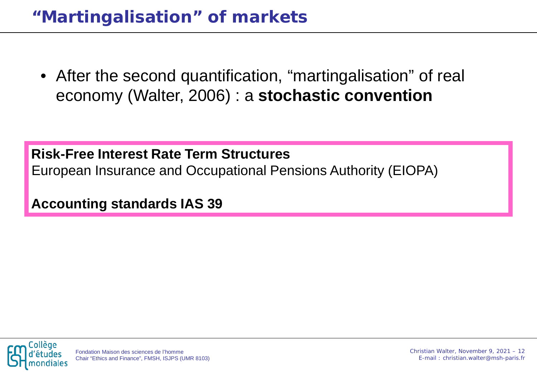• After the second quantification, "martingalisation" of real economy (Walter, 2006) : a **stochastic convention**

**Risk-Free Interest Rate Term Structures** European Insurance and Occupational Pensions Authority (EIOPA)

**Accounting standards IAS 39**

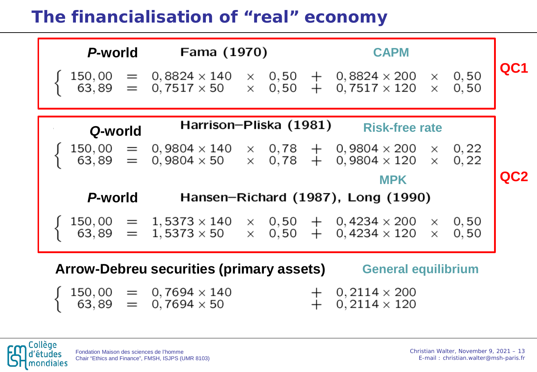#### **The financialisation of "real" economy**



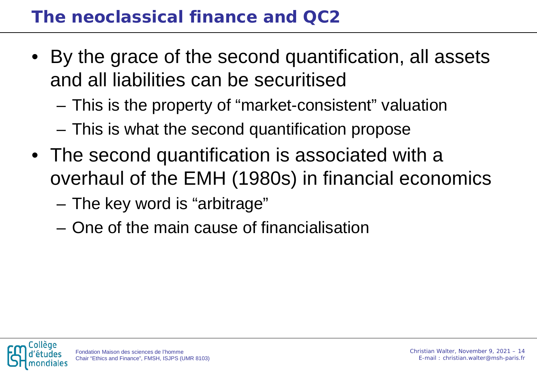#### **The neoclassical finance and QC2**

- By the grace of the second quantification, all assets and all liabilities can be securitised
	- This is the property of "market-consistent" valuation
	- This is what the second quantification propose
- The second quantification is associated with a overhaul of the EMH (1980s) in financial economics
	- The key word is "arbitrage"
	- One of the main cause of financialisation

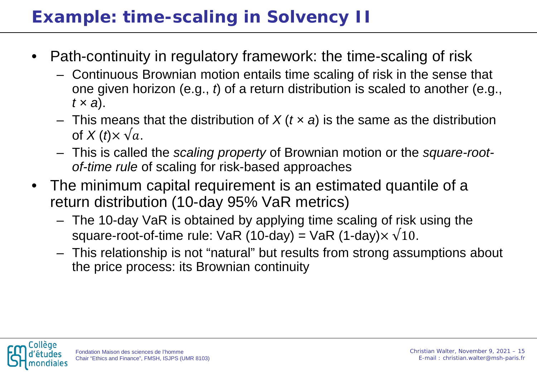### **Example: time-scaling in Solvency II**

- Path-continuity in regulatory framework: the time-scaling of risk
	- Continuous Brownian motion entails time scaling of risk in the sense that one given horizon (e.g., *t*) of a return distribution is scaled to another (e.g., *t × a*).
	- This means that the distribution of *X* (*t × a*) is the same as the distribution of  $X(t) \times \sqrt{a}$ .
	- This is called the *scaling property* of Brownian motion or the *square-rootof-time rule* of scaling for risk-based approaches
- The minimum capital requirement is an estimated quantile of a return distribution (10-day 95% VaR metrics)
	- The 10-day VaR is obtained by applying time scaling of risk using the square-root-of-time rule: VaR (10-day) = VaR (1-day) $\times \sqrt{10}$ .
	- This relationship is not "natural" but results from strong assumptions about the price process: its Brownian continuity

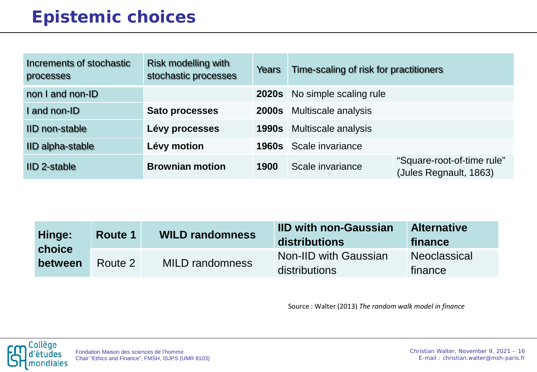#### **Epistemic choices**

| Increments of stochastic<br>processes | <b>Risk modelling with</b><br>stochastic processes | Years        | Time-scaling of risk for practitioners |                                                      |
|---------------------------------------|----------------------------------------------------|--------------|----------------------------------------|------------------------------------------------------|
| non I and non-ID                      |                                                    |              | 2020s No simple scaling rule           |                                                      |
| I and non-ID                          | <b>Sato processes</b>                              |              | <b>2000s</b> Multiscale analysis       |                                                      |
| IID non-stable                        | Lévy processes                                     | <b>1990s</b> | Multiscale analysis                    |                                                      |
| IID alpha-stable                      | Lévy motion                                        | 1960s        | Scale invariance                       |                                                      |
| IID 2-stable                          | <b>Brownian motion</b>                             | 1900         | Scale invariance                       | "Square-root-of-time rule"<br>(Jules Regnault, 1863) |

| Hinge:<br>choice<br>between | <b>WILD randomness</b><br><b>Route 1</b> |                        | <b>IID with non-Gaussian</b><br>distributions | <b>Alternative</b><br>finance |
|-----------------------------|------------------------------------------|------------------------|-----------------------------------------------|-------------------------------|
|                             | Route 2                                  | <b>MILD randomness</b> | <b>Non-IID with Gaussian</b><br>distributions | Neoclassical<br>finance       |

Source : Walter (2013) *The random walk model in finance*

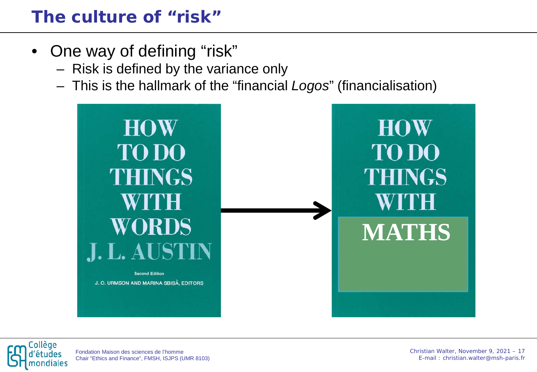#### **The culture of "risk"**

- One way of defining "risk"
	- Risk is defined by the variance only
	- This is the hallmark of the "financial *Logos*" (financialisation)





Fondation Maison des sciences de l'homme Chair "Ethics and Finance", FMSH, ISJPS (UMR 8103)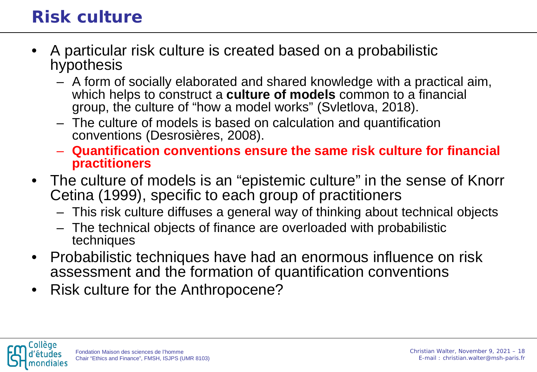#### **Risk culture**

- A particular risk culture is created based on a probabilistic hypothesis
	- A form of socially elaborated and shared knowledge with a practical aim, which helps to construct a **culture of models** common to a financial group, the culture of "how a model works" (Svletlova, 2018).
	- The culture of models is based on calculation and quantification conventions (Desrosières, 2008).
	- **Quantification conventions ensure the same risk culture for financial practitioners**
- The culture of models is an "epistemic culture" in the sense of Knorr Cetina (1999), specific to each group of practitioners
	- This risk culture diffuses a general way of thinking about technical objects
	- The technical objects of finance are overloaded with probabilistic techniques
- Probabilistic techniques have had an enormous influence on risk assessment and the formation of quantification conventions
- Risk culture for the Anthropocene?

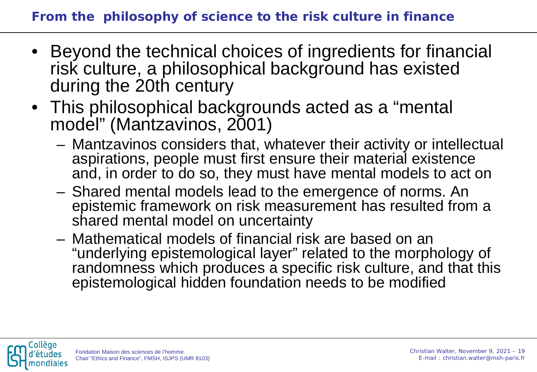- Beyond the technical choices of ingredients for financial risk culture, a philosophical background has existed during the 20th century
- This philosophical backgrounds acted as a "mental model" (Mantzavinos, 2001)
	- Mantzavinos considers that, whatever their activity or intellectual aspirations, people must first ensure their material existence and, in order to do so, they must have mental models to act on
	- Shared mental models lead to the emergence of norms. An epistemic framework on risk measurement has resulted from a shared mental model on uncertainty
	- Mathematical models of financial risk are based on an "underlying epistemological layer" related to the morphology of randomness which produces a specific risk culture, and that this epistemological hidden foundation needs to be modified

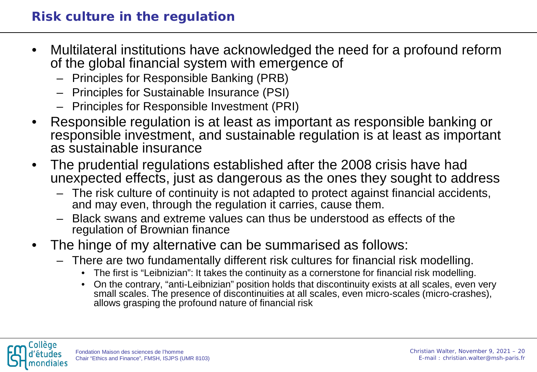- Multilateral institutions have acknowledged the need for a profound reform of the global financial system with emergence of
	- Principles for Responsible Banking (PRB)
	- Principles for Sustainable Insurance (PSI)
	- Principles for Responsible Investment (PRI)
- Responsible regulation is at least as important as responsible banking or responsible investment, and sustainable regulation is at least as important as sustainable insurance
- The prudential regulations established after the 2008 crisis have had unexpected effects, just as dangerous as the ones they sought to address
	- The risk culture of continuity is not adapted to protect against financial accidents, and may even, through the regulation it carries, cause them.
	- Black swans and extreme values can thus be understood as effects of the regulation of Brownian finance
- The hinge of my alternative can be summarised as follows:
	- There are two fundamentally different risk cultures for financial risk modelling.
		- The first is "Leibnizian": It takes the continuity as a cornerstone for financial risk modelling.
		- On the contrary, "anti-Leibnizian" position holds that discontinuity exists at all scales, even very small scales. The presence of discontinuities at all scales, even micro-scales (micro-crashes), allows grasping the profound nature of financial risk

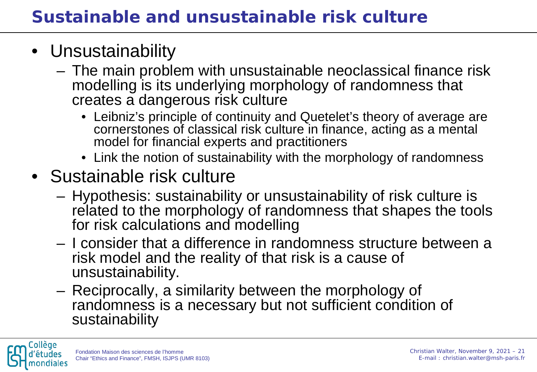### • Unsustainability

- The main problem with unsustainable neoclassical finance risk modelling is its underlying morphology of randomness that creates a dangerous risk culture
	- Leibniz's principle of continuity and Quetelet's theory of average are cornerstones of classical risk culture in finance, acting as a mental model for financial experts and practitioners
	- Link the notion of sustainability with the morphology of randomness
- Sustainable risk culture
	- Hypothesis: sustainability or unsustainability of risk culture is related to the morphology of randomness that shapes the tools for risk calculations and modelling
	- I consider that a difference in randomness structure between a risk model and the reality of that risk is a cause of unsustainability.
	- Reciprocally, a similarity between the morphology of randomness is a necessary but not sufficient condition of sustainability